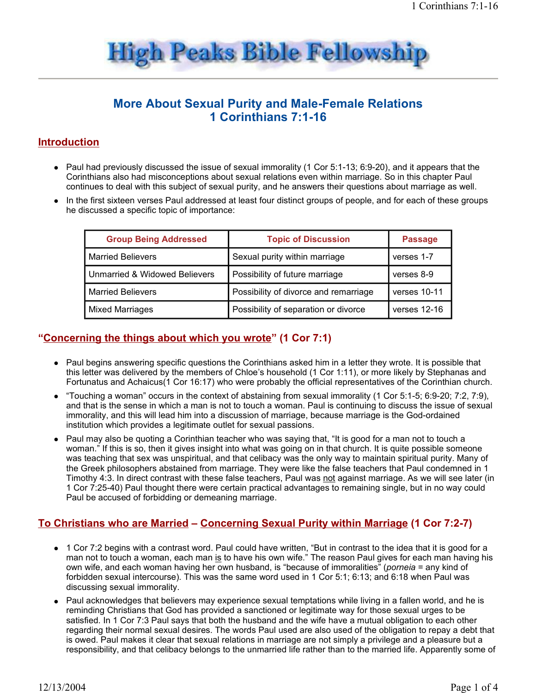

# **More About Sexual Purity and Male-Female Relations** 1 Corinthians 7:1-16

### **Introduction**

- Paul had previously discussed the issue of sexual immorality (1 Cor 5:1-13; 6:9-20), and it appears that the Corinthians also had misconceptions about sexual relations even within marriage. So in this chapter Paul continues to deal with this subject of sexual purity, and he answers their questions about marriage as well.
- In the first sixteen verses Paul addressed at least four distinct groups of people, and for each of these groups he discussed a specific topic of importance:

| <b>Group Being Addressed</b>  | <b>Topic of Discussion</b>            | <b>Passage</b> |
|-------------------------------|---------------------------------------|----------------|
| <b>Married Believers</b>      | Sexual purity within marriage         | verses 1-7     |
| Unmarried & Widowed Believers | Possibility of future marriage        | verses 8-9     |
| <b>Married Believers</b>      | Possibility of divorce and remarriage | verses 10-11   |
| <b>Mixed Marriages</b>        | Possibility of separation or divorce  | verses 12-16   |

# "Concerning the things about which you wrote" (1 Cor 7:1)

- Paul begins answering specific questions the Corinthians asked him in a letter they wrote. It is possible that this letter was delivered by the members of Chloe's household (1 Cor 1:11), or more likely by Stephanas and Fortunatus and Achaicus(1 Cor 16:17) who were probably the official representatives of the Corinthian church.
- "Touching a woman" occurs in the context of abstaining from sexual immorality (1 Cor 5:1-5; 6:9-20; 7:2, 7:9), and that is the sense in which a man is not to touch a woman. Paul is continuing to discuss the issue of sexual immorality, and this will lead him into a discussion of marriage, because marriage is the God-ordained institution which provides a legitimate outlet for sexual passions.
- Paul may also be quoting a Corinthian teacher who was saying that, "It is good for a man not to touch a woman." If this is so, then it gives insight into what was going on in that church. It is guite possible someone was teaching that sex was unspiritual, and that celibacy was the only way to maintain spiritual purity. Many of the Greek philosophers abstained from marriage. They were like the false teachers that Paul condemned in 1 Timothy 4:3. In direct contrast with these false teachers. Paul was not against marriage. As we will see later (in 1 Cor 7:25-40) Paul thought there were certain practical advantages to remaining single, but in no way could Paul be accused of forbidding or demeaning marriage.

# <u>To Christians who are Married – Concerning Sexual Purity within Marriage (1 Cor 7:2-7)</u>

- 1 Cor 7:2 begins with a contrast word. Paul could have written, "But in contrast to the idea that it is good for a man not to touch a woman, each man is to have his own wife." The reason Paul gives for each man having his own wife, and each woman having her own husband, is "because of immoralities" (porneia = any kind of forbidden sexual intercourse). This was the same word used in 1 Cor 5:1; 6:13; and 6:18 when Paul was discussing sexual immorality.
- Paul acknowledges that believers may experience sexual temptations while living in a fallen world, and he is reminding Christians that God has provided a sanctioned or legitimate way for those sexual urges to be satisfied. In 1 Cor 7:3 Paul says that both the husband and the wife have a mutual obligation to each other regarding their normal sexual desires. The words Paul used are also used of the obligation to repay a debt that is owed. Paul makes it clear that sexual relations in marriage are not simply a privilege and a pleasure but a responsibility, and that celibacy belongs to the unmarried life rather than to the married life. Apparently some of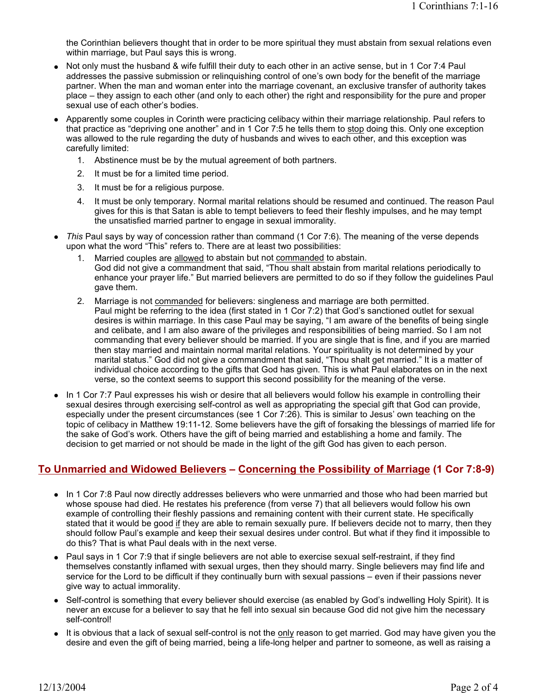the Corinthian believers thought that in order to be more spiritual they must abstain from sexual relations even within marriage, but Paul says this is wrong.

- Not only must the husband & wife fulfill their duty to each other in an active sense, but in 1 Cor 7:4 Paul  $\bullet$ addresses the passive submission or relinguishing control of one's own body for the benefit of the marriage partner. When the man and woman enter into the marriage covenant, an exclusive transfer of authority takes place – they assign to each other (and only to each other) the right and responsibility for the pure and proper sexual use of each other's bodies.
- Apparently some couples in Corinth were practicing celibacy within their marriage relationship. Paul refers to that practice as "depriving one another" and in 1 Cor 7:5 he tells them to stop doing this. Only one exception was allowed to the rule regarding the duty of husbands and wives to each other, and this exception was carefully limited:
	- 1. Abstinence must be by the mutual agreement of both partners.
	- 2. It must be for a limited time period.
	- 3. It must be for a religious purpose.
	- 4. It must be only temporary. Normal marital relations should be resumed and continued. The reason Paul gives for this is that Satan is able to tempt believers to feed their fleshly impulses, and he may tempt the unsatisfied married partner to engage in sexual immorality.
- This Paul says by way of concession rather than command (1 Cor 7:6). The meaning of the verse depends upon what the word "This" refers to. There are at least two possibilities:
	- $1<sub>1</sub>$ Married couples are allowed to abstain but not commanded to abstain. God did not give a commandment that said, "Thou shalt abstain from marital relations periodically to enhance your prayer life." But married believers are permitted to do so if they follow the guidelines Paul gave them.
	- 2. Marriage is not commanded for believers: singleness and marriage are both permitted. Paul might be referring to the idea (first stated in 1 Cor 7:2) that God's sanctioned outlet for sexual desires is within marriage. In this case Paul may be saying, "I am aware of the benefits of being single and celibate, and I am also aware of the privileges and responsibilities of being married. So I am not commanding that every believer should be married. If you are single that is fine, and if you are married then stay married and maintain normal marital relations. Your spirituality is not determined by your marital status." God did not give a commandment that said, "Thou shalt get married." It is a matter of individual choice according to the gifts that God has given. This is what Paul elaborates on in the next verse, so the context seems to support this second possibility for the meaning of the verse.
- In 1 Cor 7:7 Paul expresses his wish or desire that all believers would follow his example in controlling their  $\bullet$ sexual desires through exercising self-control as well as appropriating the special gift that God can provide, especially under the present circumstances (see 1 Cor 7:26). This is similar to Jesus' own teaching on the topic of celibacy in Matthew 19:11-12. Some believers have the gift of forsaking the blessings of married life for the sake of God's work. Others have the gift of being married and establishing a home and family. The decision to get married or not should be made in the light of the gift God has given to each person.

#### <u>To Unmarried and Widowed Believers - Concerning the Possibility of Marriage (1 Cor 7:8-9)</u>

- In 1 Cor 7:8 Paul now directly addresses believers who were unmarried and those who had been married but whose spouse had died. He restates his preference (from verse 7) that all believers would follow his own example of controlling their fleshly passions and remaining content with their current state. He specifically stated that it would be good if they are able to remain sexually pure. If believers decide not to marry, then they should follow Paul's example and keep their sexual desires under control. But what if they find it impossible to do this? That is what Paul deals with in the next verse.
- Paul says in 1 Cor 7:9 that if single believers are not able to exercise sexual self-restraint, if they find themselves constantly inflamed with sexual urges, then they should marry. Single believers may find life and service for the Lord to be difficult if they continually burn with sexual passions – even if their passions never give way to actual immorality.
- Self-control is something that every believer should exercise (as enabled by God's indwelling Holy Spirit). It is never an excuse for a believer to say that he fell into sexual sin because God did not give him the necessary self-control!
- It is obvious that a lack of sexual self-control is not the only reason to get married. God may have given you the desire and even the gift of being married, being a life-long helper and partner to someone, as well as raising a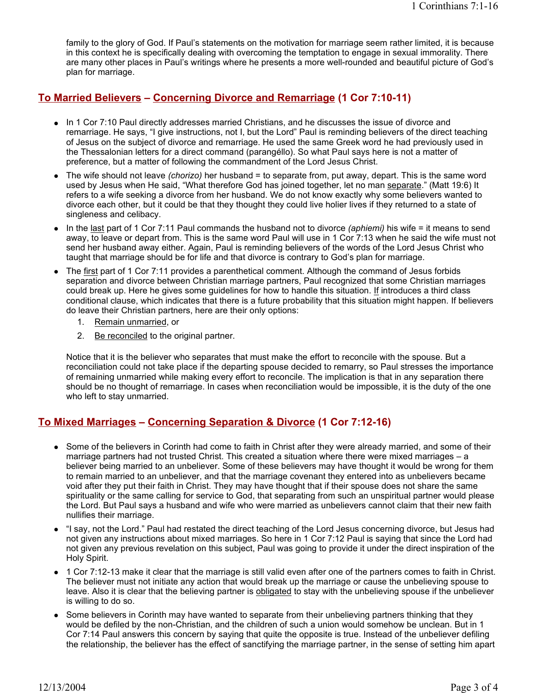family to the glory of God. If Paul's statements on the motivation for marriage seem rather limited, it is because in this context he is specifically dealing with overcoming the temptation to engage in sexual immorality. There are many other places in Paul's writings where he presents a more well-rounded and beautiful picture of God's plan for marriage.

#### <u>**To Married Believers - Concerning Divorce and Remarriage (1 Cor 7:10-11)**</u>

- In 1 Cor 7:10 Paul directly addresses married Christians, and he discusses the issue of divorce and remarriage. He says, "I give instructions, not I, but the Lord" Paul is reminding believers of the direct teaching of Jesus on the subject of divorce and remarriage. He used the same Greek word he had previously used in the Thessalonian letters for a direct command (parangéllo). So what Paul says here is not a matter of preference, but a matter of following the commandment of the Lord Jesus Christ.
- The wife should not leave *(chorizo)* her husband = to separate from, put away, depart. This is the same word used by Jesus when He said, "What therefore God has joined together, let no man separate." (Matt 19:6) It refers to a wife seeking a divorce from her husband. We do not know exactly why some believers wanted to divorce each other, but it could be that they thought they could live holier lives if they returned to a state of singleness and celibacy.
- In the last part of 1 Cor 7:11 Paul commands the husband not to divorce (aphiemi) his wife = it means to send away, to leave or depart from. This is the same word Paul will use in 1 Cor 7:13 when he said the wife must not send her husband away either. Again, Paul is reminding believers of the words of the Lord Jesus Christ who taught that marriage should be for life and that divorce is contrary to God's plan for marriage.
- The first part of 1 Cor 7:11 provides a parenthetical comment. Although the command of Jesus forbids separation and divorce between Christian marriage partners, Paul recognized that some Christian marriages could break up. Here he gives some guidelines for how to handle this situation. If introduces a third class conditional clause, which indicates that there is a future probability that this situation might happen. If believers do leave their Christian partners, here are their only options:
	- 1. Remain unmarried, or
	- Be reconciled to the original partner.  $2^{2}$

Notice that it is the believer who separates that must make the effort to reconcile with the spouse. But a reconciliation could not take place if the departing spouse decided to remarry, so Paul stresses the importance of remaining unmarried while making every effort to reconcile. The implication is that in any separation there should be no thought of remarriage. In cases when reconciliation would be impossible, it is the duty of the one who left to stay unmarried.

# To Mixed Marriages – Concerning Separation & Divorce (1 Cor 7:12-16)

- Some of the believers in Corinth had come to faith in Christ after they were already married, and some of their marriage partners had not trusted Christ. This created a situation where there were mixed marriages - a believer being married to an unbeliever. Some of these believers may have thought it would be wrong for them to remain married to an unbeliever, and that the marriage covenant they entered into as unbelievers became void after they put their faith in Christ. They may have thought that if their spouse does not share the same spirituality or the same calling for service to God, that separating from such an unspiritual partner would please the Lord. But Paul says a husband and wife who were married as unbelievers cannot claim that their new faith nullifies their marriage.
- "I say, not the Lord." Paul had restated the direct teaching of the Lord Jesus concerning divorce, but Jesus had  $\bullet$ not given any instructions about mixed marriages. So here in 1 Cor 7:12 Paul is saying that since the Lord had not given any previous revelation on this subject, Paul was going to provide it under the direct inspiration of the Holy Spirit.
- 1 Cor 7:12-13 make it clear that the marriage is still valid even after one of the partners comes to faith in Christ. The believer must not initiate any action that would break up the marriage or cause the unbelieving spouse to leave. Also it is clear that the believing partner is obligated to stay with the unbelieving spouse if the unbeliever is willing to do so.
- Some believers in Corinth may have wanted to separate from their unbelieving partners thinking that they would be defiled by the non-Christian, and the children of such a union would somehow be unclean. But in 1 Cor 7:14 Paul answers this concern by saying that quite the opposite is true. Instead of the unbeliever defiling the relationship, the believer has the effect of sanctifying the marriage partner, in the sense of setting him apart